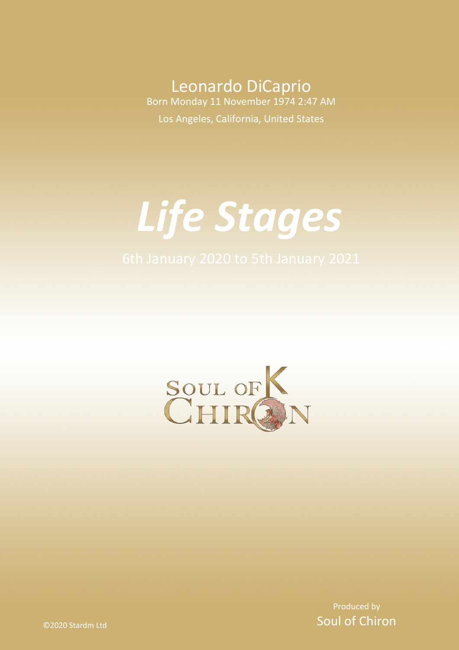Leonardo DiCaprio Born Monday 11 November 1974 2:47 AM Los Angeles, California, United States

# *Life Stages*



Produced by Soul of Chiron

©2020 Stardm Ltd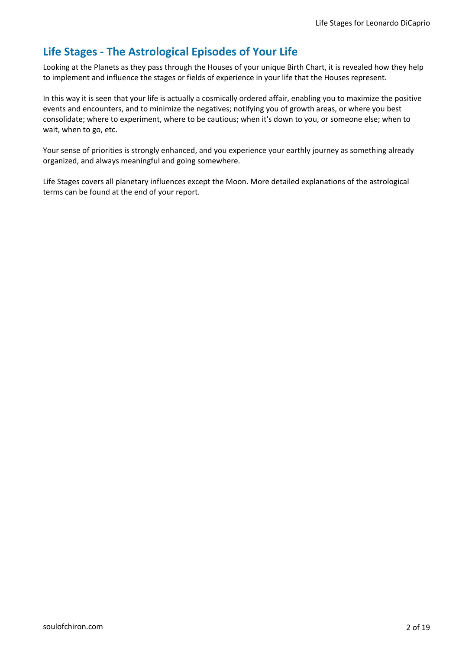# **Life Stages - The Astrological Episodes of Your Life**

Looking at the Planets as they pass through the Houses of your unique Birth Chart, it is revealed how they help to implement and influence the stages or fields of experience in your life that the Houses represent.

In this way it is seen that your life is actually a cosmically ordered affair, enabling you to maximize the positive events and encounters, and to minimize the negatives; notifying you of growth areas, or where you best consolidate; where to experiment, where to be cautious; when it's down to you, or someone else; when to wait, when to go, etc.

Your sense of priorities is strongly enhanced, and you experience your earthly journey as something already organized, and always meaningful and going somewhere.

Life Stages covers all planetary influences except the Moon. More detailed explanations of the astrological terms can be found at the end of your report.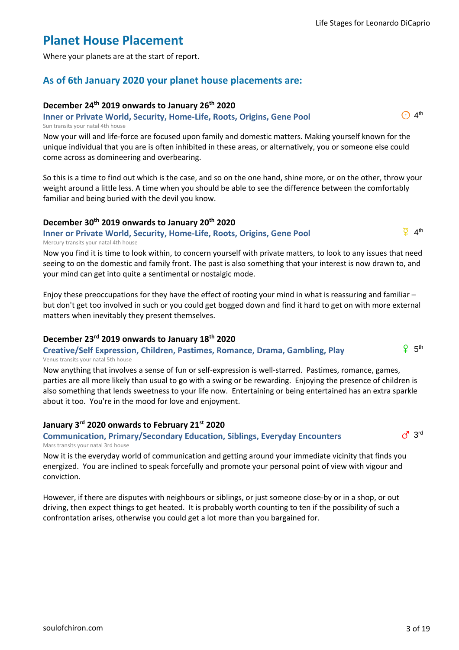# **Planet House Placement**

Where your planets are at the start of report.

# **As of 6th January 2020 your planet house placements are:**

# **December 24th 2019 onwards to January 26th 2020**

**Inner or Private World, Security, Home-Life, Roots, Origins, Gene Pool** Sun transits your natal 4th house

Now your will and life-force are focused upon family and domestic matters. Making yourself known for the unique individual that you are is often inhibited in these areas, or alternatively, you or someone else could come across as domineering and overbearing.

So this is a time to find out which is the case, and so on the one hand, shine more, or on the other, throw your weight around a little less. A time when you should be able to see the difference between the comfortably familiar and being buried with the devil you know.

# **December 30th 2019 onwards to January 20th 2020**

## **Inner or Private World, Security, Home-Life, Roots, Origins, Gene Pool** Mercury transits your natal 4th house

Now you find it is time to look within, to concern yourself with private matters, to look to any issues that need seeing to on the domestic and family front. The past is also something that your interest is now drawn to, and your mind can get into quite a sentimental or nostalgic mode.

Enjoy these preoccupations for they have the effect of rooting your mind in what is reassuring and familiar – but don't get too involved in such or you could get bogged down and find it hard to get on with more external matters when inevitably they present themselves.

# **December 23rd 2019 onwards to January 18th 2020**

#### **Creative/Self Expression, Children, Pastimes, Romance, Drama, Gambling, Play** Venus transits your natal 5th house

Now anything that involves a sense of fun or self-expression is well-starred. Pastimes, romance, games, parties are all more likely than usual to go with a swing or be rewarding. Enjoying the presence of children is also something that lends sweetness to your life now. Entertaining or being entertained has an extra sparkle about it too. You're in the mood for love and enjoyment.

# **January 3rd 2020 onwards to February 21st 2020**

#### **Communication, Primary/Secondary Education, Siblings, Everyday Encounters** Mars transits your natal 3rd house

Now it is the everyday world of communication and getting around your immediate vicinity that finds you energized. You are inclined to speak forcefully and promote your personal point of view with vigour and conviction.

However, if there are disputes with neighbours or siblings, or just someone close-by or in a shop, or out driving, then expect things to get heated. It is probably worth counting to ten if the possibility of such a confrontation arises, otherwise you could get a lot more than you bargained for.



 $\overline{9}$  4<sup>th</sup>

 $\bigodot$  4<sup>th</sup>

 $9.5<sup>th</sup>$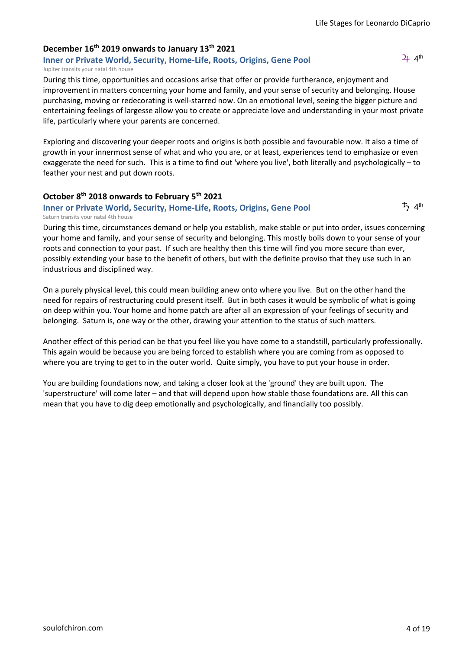# **December 16th 2019 onwards to January 13th 2021**

**Inner or Private World, Security, Home-Life, Roots, Origins, Gene Pool** Jupiter transits your natal 4th house

During this time, opportunities and occasions arise that offer or provide furtherance, enjoyment and improvement in matters concerning your home and family, and your sense of security and belonging. House purchasing, moving or redecorating is well-starred now. On an emotional level, seeing the bigger picture and entertaining feelings of largesse allow you to create or appreciate love and understanding in your most private life, particularly where your parents are concerned.

Exploring and discovering your deeper roots and origins is both possible and favourable now. It also a time of growth in your innermost sense of what and who you are, or at least, experiences tend to emphasize or even exaggerate the need for such. This is a time to find out 'where you live', both literally and psychologically – to feather your nest and put down roots.

#### **October 8th 2018 onwards to February 5th 2021**

#### **Inner or Private World, Security, Home-Life, Roots, Origins, Gene Pool** Saturn transits your natal 4th house

During this time, circumstances demand or help you establish, make stable or put into order, issues concerning your home and family, and your sense of security and belonging. This mostly boils down to your sense of your roots and connection to your past. If such are healthy then this time will find you more secure than ever, possibly extending your base to the benefit of others, but with the definite proviso that they use such in an industrious and disciplined way.

On a purely physical level, this could mean building anew onto where you live. But on the other hand the need for repairs of restructuring could present itself. But in both cases it would be symbolic of what is going on deep within you. Your home and home patch are after all an expression of your feelings of security and belonging. Saturn is, one way or the other, drawing your attention to the status of such matters.

Another effect of this period can be that you feel like you have come to a standstill, particularly professionally. This again would be because you are being forced to establish where you are coming from as opposed to where you are trying to get to in the outer world. Quite simply, you have to put your house in order.

You are building foundations now, and taking a closer look at the 'ground' they are built upon. The 'superstructure' will come later – and that will depend upon how stable those foundations are. All this can mean that you have to dig deep emotionally and psychologically, and financially too possibly.

 $2+4$ <sup>th</sup>

 $\frac{1}{2}$  4<sup>th</sup>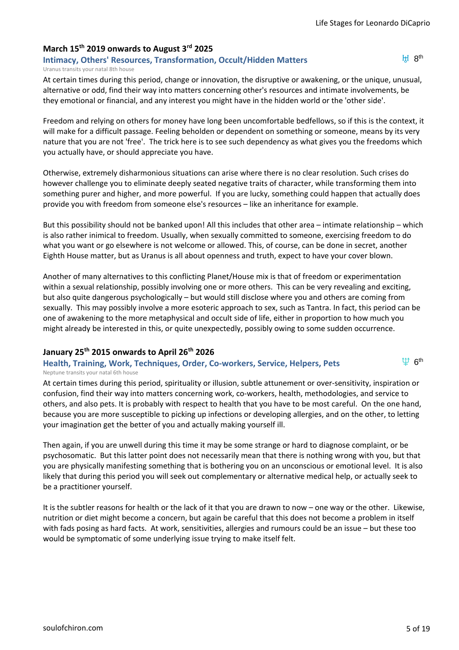# **March 15th 2019 onwards to August 3rd 2025**

**Intimacy, Others' Resources, Transformation, Occult/Hidden Matters** Uranus transits your natal 8th house

 $H$   $R<sup>th</sup>$ 

At certain times during this period, change or innovation, the disruptive or awakening, or the unique, unusual, alternative or odd, find their way into matters concerning other's resources and intimate involvements, be they emotional or financial, and any interest you might have in the hidden world or the 'other side'.

Freedom and relying on others for money have long been uncomfortable bedfellows, so if this is the context, it will make for a difficult passage. Feeling beholden or dependent on something or someone, means by its very nature that you are not 'free'. The trick here is to see such dependency as what gives you the freedoms which you actually have, or should appreciate you have.

Otherwise, extremely disharmonious situations can arise where there is no clear resolution. Such crises do however challenge you to eliminate deeply seated negative traits of character, while transforming them into something purer and higher, and more powerful. If you are lucky, something could happen that actually does provide you with freedom from someone else's resources – like an inheritance for example.

But this possibility should not be banked upon! All this includes that other area – intimate relationship – which is also rather inimical to freedom. Usually, when sexually committed to someone, exercising freedom to do what you want or go elsewhere is not welcome or allowed. This, of course, can be done in secret, another Eighth House matter, but as Uranus is all about openness and truth, expect to have your cover blown.

Another of many alternatives to this conflicting Planet/House mix is that of freedom or experimentation within a sexual relationship, possibly involving one or more others. This can be very revealing and exciting, but also quite dangerous psychologically – but would still disclose where you and others are coming from sexually. This may possibly involve a more esoteric approach to sex, such as Tantra. In fact, this period can be one of awakening to the more metaphysical and occult side of life, either in proportion to how much you might already be interested in this, or quite unexpectedly, possibly owing to some sudden occurrence.

#### **January 25th 2015 onwards to April 26th 2026**

#### **Health, Training, Work, Techniques, Order, Co-workers, Service, Helpers, Pets** Neptune transits your natal 6th house

 $\Psi$  6<sup>th</sup>

At certain times during this period, spirituality or illusion, subtle attunement or over-sensitivity, inspiration or confusion, find their way into matters concerning work, co-workers, health, methodologies, and service to others, and also pets. It is probably with respect to health that you have to be most careful. On the one hand, because you are more susceptible to picking up infections or developing allergies, and on the other, to letting your imagination get the better of you and actually making yourself ill.

Then again, if you are unwell during this time it may be some strange or hard to diagnose complaint, or be psychosomatic. But this latter point does not necessarily mean that there is nothing wrong with you, but that you are physically manifesting something that is bothering you on an unconscious or emotional level. It is also likely that during this period you will seek out complementary or alternative medical help, or actually seek to be a practitioner yourself.

It is the subtler reasons for health or the lack of it that you are drawn to now – one way or the other. Likewise, nutrition or diet might become a concern, but again be careful that this does not become a problem in itself with fads posing as hard facts. At work, sensitivities, allergies and rumours could be an issue – but these too would be symptomatic of some underlying issue trying to make itself felt.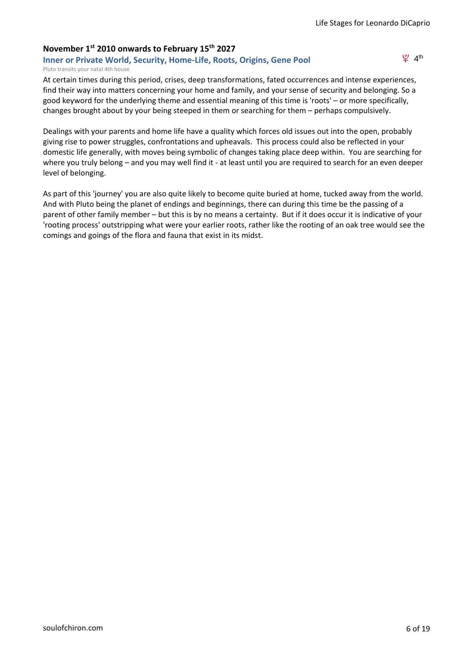# **November 1st 2010 onwards to February 15th 2027**

**Inner or Private World, Security, Home-Life, Roots, Origins, Gene Pool** Pluto transits your natal 4th house

 $\mathfrak{L}$  4<sup>th</sup>

At certain times during this period, crises, deep transformations, fated occurrences and intense experiences, find their way into matters concerning your home and family, and your sense of security and belonging. So a good keyword for the underlying theme and essential meaning of this time is 'roots' – or more specifically, changes brought about by your being steeped in them or searching for them – perhaps compulsively.

Dealings with your parents and home life have a quality which forces old issues out into the open, probably giving rise to power struggles, confrontations and upheavals. This process could also be reflected in your domestic life generally, with moves being symbolic of changes taking place deep within. You are searching for where you truly belong – and you may well find it - at least until you are required to search for an even deeper level of belonging.

As part of this 'journey' you are also quite likely to become quite buried at home, tucked away from the world. And with Pluto being the planet of endings and beginnings, there can during this time be the passing of a parent of other family member – but this is by no means a certainty. But if it does occur it is indicative of your 'rooting process' outstripping what were your earlier roots, rather like the rooting of an oak tree would see the comings and goings of the flora and fauna that exist in its midst.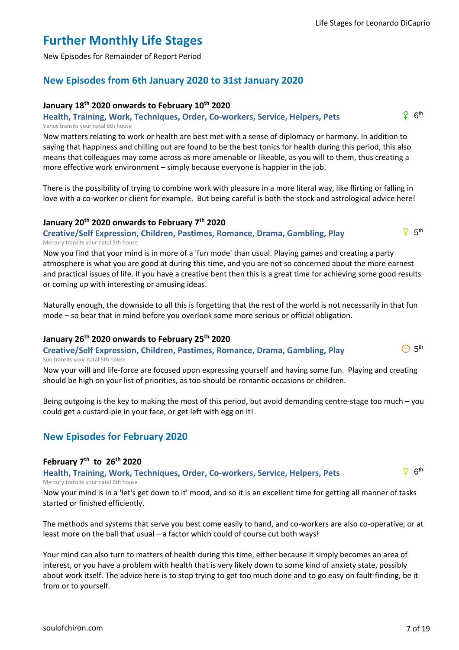# **Further Monthly Life Stages**

New Episodes for Remainder of Report Period

# **New Episodes from 6th January 2020 to 31st January 2020**

# **January 18th 2020 onwards to February 10th 2020**

**Health, Training, Work, Techniques, Order, Co-workers, Service, Helpers, Pets** Venus transits your natal 6th house

Now matters relating to work or health are best met with a sense of diplomacy or harmony. In addition to saying that happiness and chilling out are found to be the best tonics for health during this period, this also means that colleagues may come across as more amenable or likeable, as you will to them, thus creating a more effective work environment – simply because everyone is happier in the job.

There is the possibility of trying to combine work with pleasure in a more literal way, like flirting or falling in love with a co-worker or client for example. But being careful is both the stock and astrological advice here!

# **January 20th 2020 onwards to February 7th 2020**

**Creative/Self Expression, Children, Pastimes, Romance, Drama, Gambling, Play** Mercury transits your natal 5th house

Now you find that your mind is in more of a 'fun mode' than usual. Playing games and creating a party atmosphere is what you are good at during this time, and you are not so concerned about the more earnest and practical issues of life. If you have a creative bent then this is a great time for achieving some good results or coming up with interesting or amusing ideas.

Naturally enough, the downside to all this is forgetting that the rest of the world is not necessarily in that fun mode – so bear that in mind before you overlook some more serious or official obligation.

# **January 26th 2020 onwards to February 25th 2020**

**Creative/Self Expression, Children, Pastimes, Romance, Drama, Gambling, Play** Sun transits your natal 5th house

Now your will and life-force are focused upon expressing yourself and having some fun. Playing and creating should be high on your list of priorities, as too should be romantic occasions or children.

Being outgoing is the key to making the most of this period, but avoid demanding centre-stage too much – you could get a custard-pie in your face, or get left with egg on it!

# **New Episodes for February 2020**

# **February 7th to 26th 2020**

**Health, Training, Work, Techniques, Order, Co-workers, Service, Helpers, Pets** Mercury transits your natal 6th house

Now your mind is in a 'let's get down to it' mood, and so it is an excellent time for getting all manner of tasks started or finished efficiently.

The methods and systems that serve you best come easily to hand, and co-workers are also co-operative, or at least more on the ball that usual – a factor which could of course cut both ways!

Your mind can also turn to matters of health during this time, either because it simply becomes an area of interest, or you have a problem with health that is very likely down to some kind of anxiety state, possibly about work itself. The advice here is to stop trying to get too much done and to go easy on fault-finding, be it from or to yourself.



 $\overline{Q}$  6<sup>th</sup>



 $\overline{9}$  5<sup>th</sup>

 $\odot$  5<sup>th</sup>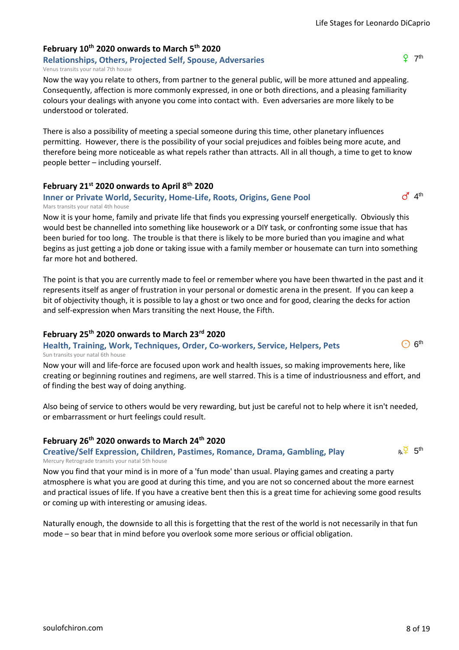Venus transits your natal 7th house

Now the way you relate to others, from partner to the general public, will be more attuned and appealing. Consequently, affection is more commonly expressed, in one or both directions, and a pleasing familiarity colours your dealings with anyone you come into contact with. Even adversaries are more likely to be understood or tolerated.

There is also a possibility of meeting a special someone during this time, other planetary influences permitting. However, there is the possibility of your social prejudices and foibles being more acute, and therefore being more noticeable as what repels rather than attracts. All in all though, a time to get to know people better – including yourself.

## **February 21st 2020 onwards to April 8th 2020**

**February 10th 2020 onwards to March 5th 2020**

**Relationships, Others, Projected Self, Spouse, Adversaries**

#### **Inner or Private World, Security, Home-Life, Roots, Origins, Gene Pool** Mars transits your natal 4th house

Now it is your home, family and private life that finds you expressing yourself energetically. Obviously this would best be channelled into something like housework or a DIY task, or confronting some issue that has been buried for too long. The trouble is that there is likely to be more buried than you imagine and what begins as just getting a job done or taking issue with a family member or housemate can turn into something far more hot and bothered.

The point is that you are currently made to feel or remember where you have been thwarted in the past and it represents itself as anger of frustration in your personal or domestic arena in the present. If you can keep a bit of objectivity though, it is possible to lay a ghost or two once and for good, clearing the decks for action and self-expression when Mars transiting the next House, the Fifth.

#### **February 25th 2020 onwards to March 23rd 2020**

#### **Health, Training, Work, Techniques, Order, Co-workers, Service, Helpers, Pets** Sun transits your natal 6th house

Now your will and life-force are focused upon work and health issues, so making improvements here, like creating or beginning routines and regimens, are well starred. This is a time of industriousness and effort, and of finding the best way of doing anything.

Also being of service to others would be very rewarding, but just be careful not to help where it isn't needed, or embarrassment or hurt feelings could result.

#### **February 26th 2020 onwards to March 24th 2020**

**Creative/Self Expression, Children, Pastimes, Romance, Drama, Gambling, Play** Mercury Retrograde transits your natal 5th house

Now you find that your mind is in more of a 'fun mode' than usual. Playing games and creating a party atmosphere is what you are good at during this time, and you are not so concerned about the more earnest and practical issues of life. If you have a creative bent then this is a great time for achieving some good results or coming up with interesting or amusing ideas.

Naturally enough, the downside to all this is forgetting that the rest of the world is not necessarily in that fun mode – so bear that in mind before you overlook some more serious or official obligation.



 $\odot$  6<sup>th</sup>

 $d^4$  4<sup>th</sup>

 $9 - 7$ <sup>th</sup>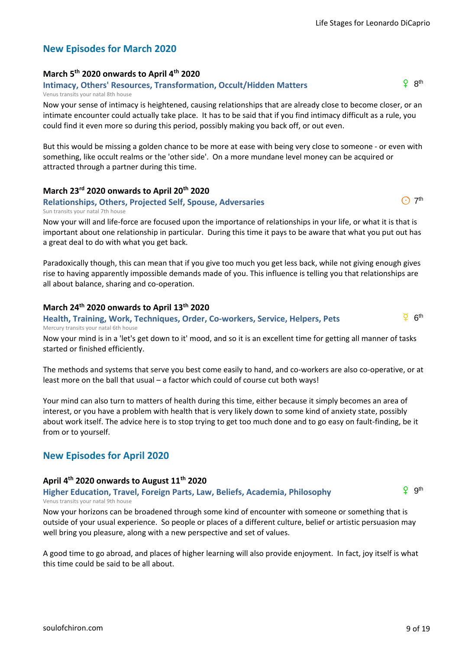$P$   $R^{th}$ 

 $\bigcap$  7<sup>th</sup>

 $\overline{2}$  6<sup>th</sup>

# **New Episodes for March 2020**

# **March 5th 2020 onwards to April 4th 2020**

**Intimacy, Others' Resources, Transformation, Occult/Hidden Matters** Venus transits your natal 8th house

Now your sense of intimacy is heightened, causing relationships that are already close to become closer, or an intimate encounter could actually take place. It has to be said that if you find intimacy difficult as a rule, you could find it even more so during this period, possibly making you back off, or out even.

But this would be missing a golden chance to be more at ease with being very close to someone - or even with something, like occult realms or the 'other side'. On a more mundane level money can be acquired or attracted through a partner during this time.

## **March 23rd 2020 onwards to April 20th 2020**

#### **Relationships, Others, Projected Self, Spouse, Adversaries** Sun transits your natal 7th house

Now your will and life-force are focused upon the importance of relationships in your life, or what it is that is important about one relationship in particular. During this time it pays to be aware that what you put out has a great deal to do with what you get back.

Paradoxically though, this can mean that if you give too much you get less back, while not giving enough gives rise to having apparently impossible demands made of you. This influence is telling you that relationships are all about balance, sharing and co-operation.

## **March 24th 2020 onwards to April 13th 2020**

#### **Health, Training, Work, Techniques, Order, Co-workers, Service, Helpers, Pets** Mercury transits your natal 6th house

Now your mind is in a 'let's get down to it' mood, and so it is an excellent time for getting all manner of tasks started or finished efficiently.

The methods and systems that serve you best come easily to hand, and co-workers are also co-operative, or at least more on the ball that usual – a factor which could of course cut both ways!

Your mind can also turn to matters of health during this time, either because it simply becomes an area of interest, or you have a problem with health that is very likely down to some kind of anxiety state, possibly about work itself. The advice here is to stop trying to get too much done and to go easy on fault-finding, be it from or to yourself.

# **New Episodes for April 2020**

# **April 4th 2020 onwards to August 11th 2020**

**Higher Education, Travel, Foreign Parts, Law, Beliefs, Academia, Philosophy** Venus transits your natal 9th house

g<sup>th</sup>

Now your horizons can be broadened through some kind of encounter with someone or something that is outside of your usual experience. So people or places of a different culture, belief or artistic persuasion may well bring you pleasure, along with a new perspective and set of values.

A good time to go abroad, and places of higher learning will also provide enjoyment. In fact, joy itself is what this time could be said to be all about.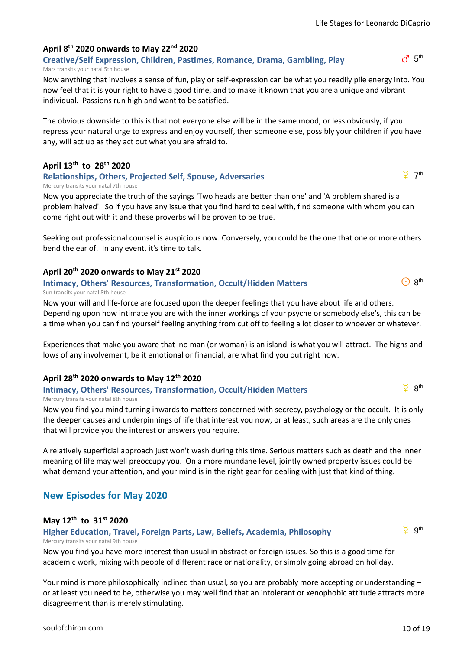$d$  5<sup>th</sup>

# **April 8th 2020 onwards to May 22nd 2020**

**Creative/Self Expression, Children, Pastimes, Romance, Drama, Gambling, Play** Mars transits your natal 5th house

Now anything that involves a sense of fun, play or self-expression can be what you readily pile energy into. You now feel that it is your right to have a good time, and to make it known that you are a unique and vibrant individual. Passions run high and want to be satisfied.

The obvious downside to this is that not everyone else will be in the same mood, or less obviously, if you repress your natural urge to express and enjoy yourself, then someone else, possibly your children if you have any, will act up as they act out what you are afraid to.

# **April 13th to 28th 2020**

## **Relationships, Others, Projected Self, Spouse, Adversaries**

Mercury transits your natal 7th house

Now you appreciate the truth of the sayings 'Two heads are better than one' and 'A problem shared is a problem halved'. So if you have any issue that you find hard to deal with, find someone with whom you can come right out with it and these proverbs will be proven to be true.

Seeking out professional counsel is auspicious now. Conversely, you could be the one that one or more others bend the ear of. In any event, it's time to talk.

# **April 20th 2020 onwards to May 21st 2020**

# **Intimacy, Others' Resources, Transformation, Occult/Hidden Matters**

Sun transits your natal 8th house

Now your will and life-force are focused upon the deeper feelings that you have about life and others. Depending upon how intimate you are with the inner workings of your psyche or somebody else's, this can be a time when you can find yourself feeling anything from cut off to feeling a lot closer to whoever or whatever.

Experiences that make you aware that 'no man (or woman) is an island' is what you will attract. The highs and lows of any involvement, be it emotional or financial, are what find you out right now.

# **April 28th 2020 onwards to May 12th 2020**

#### **Intimacy, Others' Resources, Transformation, Occult/Hidden Matters** Mercury transits your natal 8th house

Now you find you mind turning inwards to matters concerned with secrecy, psychology or the occult. It is only the deeper causes and underpinnings of life that interest you now, or at least, such areas are the only ones that will provide you the interest or answers you require.

A relatively superficial approach just won't wash during this time. Serious matters such as death and the inner meaning of life may well preoccupy you. On a more mundane level, jointly owned property issues could be what demand your attention, and your mind is in the right gear for dealing with just that kind of thing.

# **New Episodes for May 2020**

#### **May 12th to 31st 2020**

**Higher Education, Travel, Foreign Parts, Law, Beliefs, Academia, Philosophy** Mercury transits your natal 9th house

Now you find you have more interest than usual in abstract or foreign issues. So this is a good time for academic work, mixing with people of different race or nationality, or simply going abroad on holiday.

Your mind is more philosophically inclined than usual, so you are probably more accepting or understanding – or at least you need to be, otherwise you may well find that an intolerant or xenophobic attitude attracts more disagreement than is merely stimulating.

 $\overline{Q}$  gth

 $\odot$  8<sup>th</sup>

 $\overline{2}$  8<sup>th</sup>

 $\overline{Q}$  7<sup>th</sup>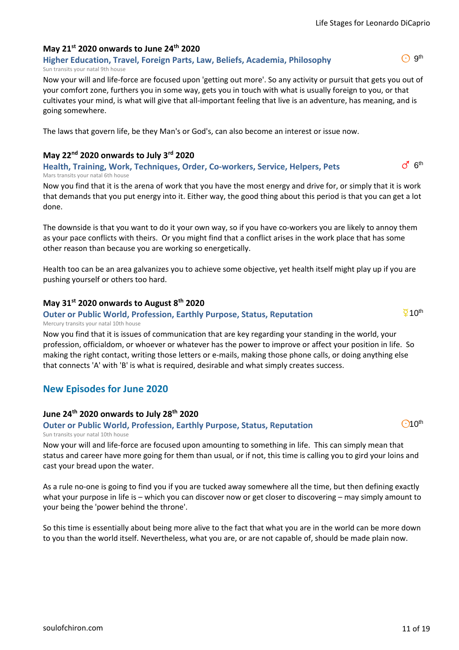$\odot$  9<sup>th</sup>

 $\sigma$ <sup>1</sup>  $6$ <sup>th</sup>

Now your will and life-force are focused upon amounting to something in life. This can simply mean that status and career have more going for them than usual, or if not, this time is calling you to gird your loins and cast your bread upon the water.

As a rule no-one is going to find you if you are tucked away somewhere all the time, but then defining exactly what your purpose in life is – which you can discover now or get closer to discovering – may simply amount to your being the 'power behind the throne'.

So this time is essentially about being more alive to the fact that what you are in the world can be more down to you than the world itself. Nevertheless, what you are, or are not capable of, should be made plain now.

[soulofchiron.com](https://soulofchiron.com/) 11 of 19

# **May 21st 2020 onwards to June 24th 2020**

**Higher Education, Travel, Foreign Parts, Law, Beliefs, Academia, Philosophy** Sun transits your natal 9th house

Now your will and life-force are focused upon 'getting out more'. So any activity or pursuit that gets you out of your comfort zone, furthers you in some way, gets you in touch with what is usually foreign to you, or that cultivates your mind, is what will give that all-important feeling that live is an adventure, has meaning, and is going somewhere.

The laws that govern life, be they Man's or God's, can also become an interest or issue now.

# **May 22nd 2020 onwards to July 3rd 2020**

**Health, Training, Work, Techniques, Order, Co-workers, Service, Helpers, Pets** Mars transits your natal 6th house

Now you find that it is the arena of work that you have the most energy and drive for, or simply that it is work that demands that you put energy into it. Either way, the good thing about this period is that you can get a lot done.

The downside is that you want to do it your own way, so if you have co-workers you are likely to annoy them as your pace conflicts with theirs. Or you might find that a conflict arises in the work place that has some other reason than because you are working so energetically.

Health too can be an area galvanizes you to achieve some objective, yet health itself might play up if you are pushing yourself or others too hard.

## **May 31st 2020 onwards to August 8th 2020**

## **Outer or Public World, Profession, Earthly Purpose, Status, Reputation**

Mercury transits your natal 10th house

Now you find that it is issues of communication that are key regarding your standing in the world, your profession, officialdom, or whoever or whatever has the power to improve or affect your position in life. So making the right contact, writing those letters or e-mails, making those phone calls, or doing anything else that connects 'A' with 'B' is what is required, desirable and what simply creates success.

# **New Episodes for June 2020**

# **June 24th 2020 onwards to July 28th 2020**

#### **Outer or Public World, Profession, Earthly Purpose, Status, Reputation** Sun transits your natal 10th house



 $O10<sup>th</sup>$ 

 $\overline{2}$  10<sup>th</sup>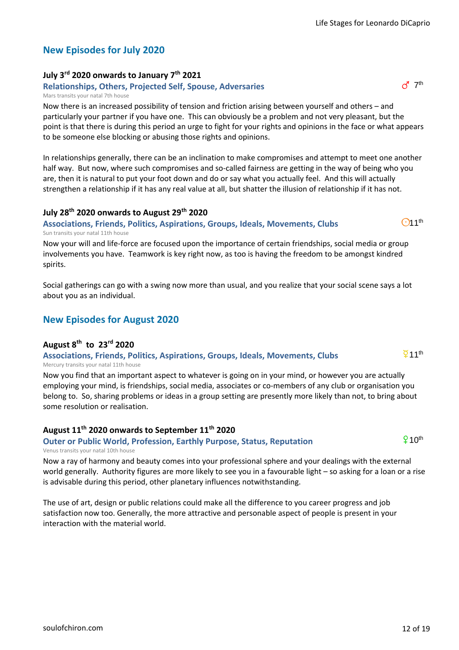# **New Episodes for July 2020**

# **July 3rd 2020 onwards to January 7th 2021**

# **Relationships, Others, Projected Self, Spouse, Adversaries**

#### Mars transits your natal 7th house

Now there is an increased possibility of tension and friction arising between yourself and others – and particularly your partner if you have one. This can obviously be a problem and not very pleasant, but the point is that there is during this period an urge to fight for your rights and opinions in the face or what appears to be someone else blocking or abusing those rights and opinions.

In relationships generally, there can be an inclination to make compromises and attempt to meet one another half way. But now, where such compromises and so-called fairness are getting in the way of being who you are, then it is natural to put your foot down and do or say what you actually feel. And this will actually strengthen a relationship if it has any real value at all, but shatter the illusion of relationship if it has not.

# **July 28th 2020 onwards to August 29th 2020**

#### **Associations, Friends, Politics, Aspirations, Groups, Ideals, Movements, Clubs** Sun transits your natal 11th house

Now your will and life-force are focused upon the importance of certain friendships, social media or group involvements you have. Teamwork is key right now, as too is having the freedom to be amongst kindred spirits.

Social gatherings can go with a swing now more than usual, and you realize that your social scene says a lot about you as an individual.

# **New Episodes for August 2020**

# **August 8th to 23rd 2020**

#### **Associations, Friends, Politics, Aspirations, Groups, Ideals, Movements, Clubs** Mercury transits your natal 11th house

Now you find that an important aspect to whatever is going on in your mind, or however you are actually employing your mind, is friendships, social media, associates or co-members of any club or organisation you belong to. So, sharing problems or ideas in a group setting are presently more likely than not, to bring about some resolution or realisation.

# **August 11th 2020 onwards to September 11th 2020**

**Outer or Public World, Profession, Earthly Purpose, Status, Reputation**

Venus transits your natal 10th house

Now a ray of harmony and beauty comes into your professional sphere and your dealings with the external world generally. Authority figures are more likely to see you in a favourable light – so asking for a loan or a rise is advisable during this period, other planetary influences notwithstanding.

The use of art, design or public relations could make all the difference to you career progress and job satisfaction now too. Generally, the more attractive and personable aspect of people is present in your interaction with the material world.

 $910<sup>th</sup>$ 

 $\overline{Q}$ 11<sup>th</sup>

 $O11<sup>th</sup>$ 

 $d^7$  7<sup>th</sup>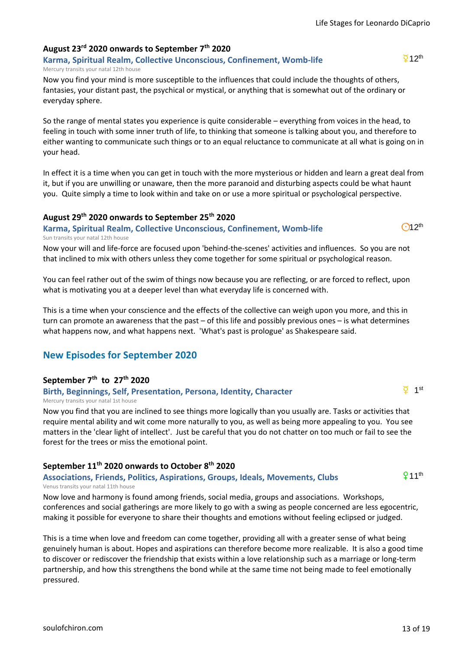# **August 23rd 2020 onwards to September 7th 2020**

#### **Karma, Spiritual Realm, Collective Unconscious, Confinement, Womb-life** Mercury transits your natal 12th house

Now you find your mind is more susceptible to the influences that could include the thoughts of others, fantasies, your distant past, the psychical or mystical, or anything that is somewhat out of the ordinary or everyday sphere.

So the range of mental states you experience is quite considerable – everything from voices in the head, to feeling in touch with some inner truth of life, to thinking that someone is talking about you, and therefore to either wanting to communicate such things or to an equal reluctance to communicate at all what is going on in your head.

In effect it is a time when you can get in touch with the more mysterious or hidden and learn a great deal from it, but if you are unwilling or unaware, then the more paranoid and disturbing aspects could be what haunt you. Quite simply a time to look within and take on or use a more spiritual or psychological perspective.

#### **August 29th 2020 onwards to September 25th 2020**

**Karma, Spiritual Realm, Collective Unconscious, Confinement, Womb-life** Sun transits your natal 12th house

Now your will and life-force are focused upon 'behind-the-scenes' activities and influences. So you are not that inclined to mix with others unless they come together for some spiritual or psychological reason.

You can feel rather out of the swim of things now because you are reflecting, or are forced to reflect, upon what is motivating you at a deeper level than what everyday life is concerned with.

This is a time when your conscience and the effects of the collective can weigh upon you more, and this in turn can promote an awareness that the past – of this life and possibly previous ones – is what determines what happens now, and what happens next. 'What's past is prologue' as Shakespeare said.

# **New Episodes for September 2020**

# **September 7th to 27th 2020**

#### **Birth, Beginnings, Self, Presentation, Persona, Identity, Character** Mercury transits your natal 1st house

Now you find that you are inclined to see things more logically than you usually are. Tasks or activities that require mental ability and wit come more naturally to you, as well as being more appealing to you. You see matters in the 'clear light of intellect'. Just be careful that you do not chatter on too much or fail to see the forest for the trees or miss the emotional point.

# **September 11th 2020 onwards to October 8th 2020**

#### **Associations, Friends, Politics, Aspirations, Groups, Ideals, Movements, Clubs** Venus transits your natal 11th house

Now love and harmony is found among friends, social media, groups and associations. Workshops, conferences and social gatherings are more likely to go with a swing as people concerned are less egocentric, making it possible for everyone to share their thoughts and emotions without feeling eclipsed or judged.

This is a time when love and freedom can come together, providing all with a greater sense of what being genuinely human is about. Hopes and aspirations can therefore become more realizable. It is also a good time to discover or rediscover the friendship that exists within a love relationship such as a marriage or long-term partnership, and how this strengthens the bond while at the same time not being made to feel emotionally pressured.

 $\overline{9}12$ <sup>th</sup>



 $\overline{Q}$  1st

 $911<sup>th</sup>$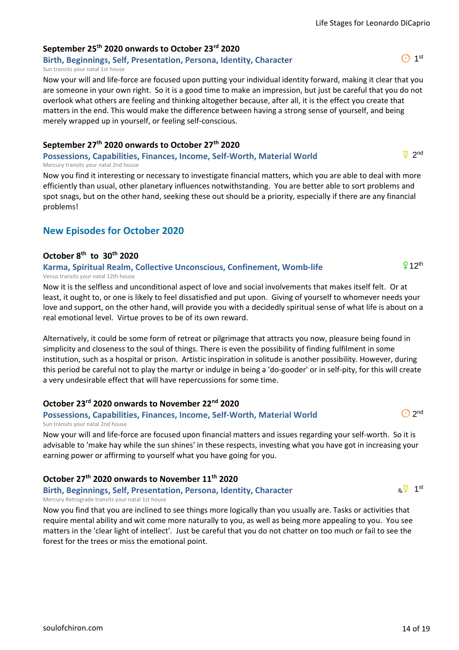# **September 25th 2020 onwards to October 23rd 2020**

**Birth, Beginnings, Self, Presentation, Persona, Identity, Character** Sun transits your natal 1st house

Now your will and life-force are focused upon putting your individual identity forward, making it clear that you are someone in your own right. So it is a good time to make an impression, but just be careful that you do not overlook what others are feeling and thinking altogether because, after all, it is the effect you create that matters in the end. This would make the difference between having a strong sense of yourself, and being merely wrapped up in yourself, or feeling self-conscious.

# **September 27th 2020 onwards to October 27th 2020**

**Possessions, Capabilities, Finances, Income, Self-Worth, Material World** Mercury transits your natal 2nd house

Now you find it interesting or necessary to investigate financial matters, which you are able to deal with more efficiently than usual, other planetary influences notwithstanding. You are better able to sort problems and spot snags, but on the other hand, seeking these out should be a priority, especially if there are any financial problems!

# **New Episodes for October 2020**

# **October 8th to 30th 2020**

**Karma, Spiritual Realm, Collective Unconscious, Confinement, Womb-life** Venus transits your natal 12th house

Now it is the selfless and unconditional aspect of love and social involvements that makes itself felt. Or at least, it ought to, or one is likely to feel dissatisfied and put upon. Giving of yourself to whomever needs your love and support, on the other hand, will provide you with a decidedly spiritual sense of what life is about on a real emotional level. Virtue proves to be of its own reward.

Alternatively, it could be some form of retreat or pilgrimage that attracts you now, pleasure being found in simplicity and closeness to the soul of things. There is even the possibility of finding fulfilment in some institution, such as a hospital or prison. Artistic inspiration in solitude is another possibility. However, during this period be careful not to play the martyr or indulge in being a 'do-gooder' or in self-pity, for this will create a very undesirable effect that will have repercussions for some time.

# **October 23rd 2020 onwards to November 22nd 2020**

# **Possessions, Capabilities, Finances, Income, Self-Worth, Material World**

Sun transits your natal 2nd house

Now your will and life-force are focused upon financial matters and issues regarding your self-worth. So it is advisable to 'make hay while the sun shines' in these respects, investing what you have got in increasing your earning power or affirming to yourself what you have going for you.

# **October 27th 2020 onwards to November 11th 2020**

**Birth, Beginnings, Self, Presentation, Persona, Identity, Character** Mercury Retrograde transits your natal 1st house

Now you find that you are inclined to see things more logically than you usually are. Tasks or activities that require mental ability and wit come more naturally to you, as well as being more appealing to you. You see matters in the 'clear light of intellect'. Just be careful that you do not chatter on too much or fail to see the forest for the trees or miss the emotional point.



 $\bigodot$  2nd

 $912<sup>th</sup>$ 

 $\odot$  1<sup>st</sup>

 $\overline{Q}$  2nd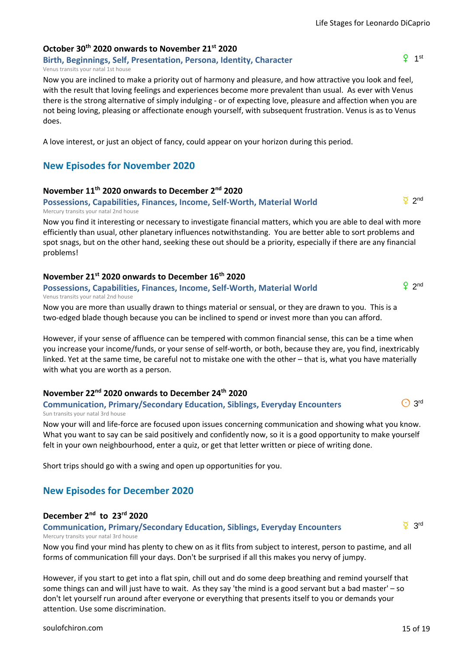# **October 30th 2020 onwards to November 21st 2020**

**Birth, Beginnings, Self, Presentation, Persona, Identity, Character** Venus transits your natal 1st house

Now you are inclined to make a priority out of harmony and pleasure, and how attractive you look and feel, with the result that loving feelings and experiences become more prevalent than usual. As ever with Venus there is the strong alternative of simply indulging - or of expecting love, pleasure and affection when you are not being loving, pleasing or affectionate enough yourself, with subsequent frustration. Venus is as to Venus does.

A love interest, or just an object of fancy, could appear on your horizon during this period.

# **New Episodes for November 2020**

# **November 11th 2020 onwards to December 2nd 2020**

# **Possessions, Capabilities, Finances, Income, Self-Worth, Material World**

Mercury transits your natal 2nd house

Now you find it interesting or necessary to investigate financial matters, which you are able to deal with more efficiently than usual, other planetary influences notwithstanding. You are better able to sort problems and spot snags, but on the other hand, seeking these out should be a priority, especially if there are any financial problems!

# **November 21st 2020 onwards to December 16th 2020**

#### **Possessions, Capabilities, Finances, Income, Self-Worth, Material World** Venus transits your natal 2nd house

Now you are more than usually drawn to things material or sensual, or they are drawn to you. This is a two-edged blade though because you can be inclined to spend or invest more than you can afford.

However, if your sense of affluence can be tempered with common financial sense, this can be a time when you increase your income/funds, or your sense of self-worth, or both, because they are, you find, inextricably linked. Yet at the same time, be careful not to mistake one with the other – that is, what you have materially with what you are worth as a person.

# **November 22nd 2020 onwards to December 24th 2020**

# **Communication, Primary/Secondary Education, Siblings, Everyday Encounters** Sun transits your natal 3rd house

Now your will and life-force are focused upon issues concerning communication and showing what you know. What you want to say can be said positively and confidently now, so it is a good opportunity to make yourself felt in your own neighbourhood, enter a quiz, or get that letter written or piece of writing done.

Short trips should go with a swing and open up opportunities for you.

# **New Episodes for December 2020**

# **December 2nd to 23rd 2020**

**Communication, Primary/Secondary Education, Siblings, Everyday Encounters** Mercury transits your natal 3rd house

Now you find your mind has plenty to chew on as it flits from subject to interest, person to pastime, and all forms of communication fill your days. Don't be surprised if all this makes you nervy of jumpy.

However, if you start to get into a flat spin, chill out and do some deep breathing and remind yourself that some things can and will just have to wait. As they say 'the mind is a good servant but a bad master' – so don't let yourself run around after everyone or everything that presents itself to you or demands your attention. Use some discrimination.

 $\overline{2}$  3rd



 $9$  2nd

d 2nd

 $\odot$  3rd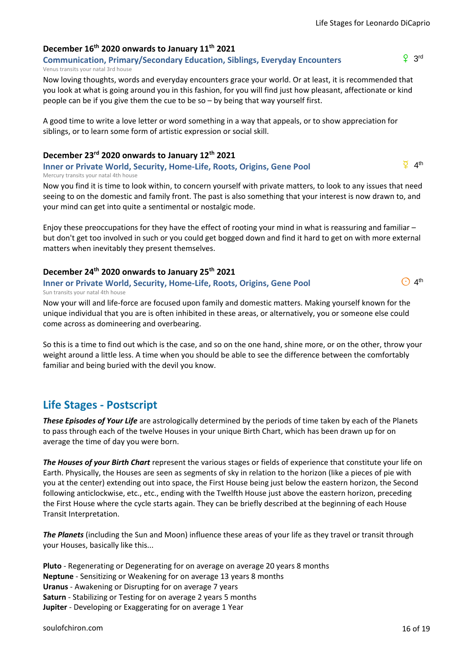# **December 16th 2020 onwards to January 11th 2021**

**Communication, Primary/Secondary Education, Siblings, Everyday Encounters** Venus transits your natal 3rd house

Now loving thoughts, words and everyday encounters grace your world. Or at least, it is recommended that you look at what is going around you in this fashion, for you will find just how pleasant, affectionate or kind people can be if you give them the cue to be so – by being that way yourself first.

A good time to write a love letter or word something in a way that appeals, or to show appreciation for siblings, or to learn some form of artistic expression or social skill.

#### **December 23rd 2020 onwards to January 12th 2021**

**Inner or Private World, Security, Home-Life, Roots, Origins, Gene Pool** Mercury transits your natal 4th house

Now you find it is time to look within, to concern yourself with private matters, to look to any issues that need seeing to on the domestic and family front. The past is also something that your interest is now drawn to, and your mind can get into quite a sentimental or nostalgic mode.

Enjoy these preoccupations for they have the effect of rooting your mind in what is reassuring and familiar – but don't get too involved in such or you could get bogged down and find it hard to get on with more external matters when inevitably they present themselves.

#### **December 24th 2020 onwards to January 25th 2021**

#### **Inner or Private World, Security, Home-Life, Roots, Origins, Gene Pool** Sun transits your natal 4th house

Now your will and life-force are focused upon family and domestic matters. Making yourself known for the unique individual that you are is often inhibited in these areas, or alternatively, you or someone else could come across as domineering and overbearing.

So this is a time to find out which is the case, and so on the one hand, shine more, or on the other, throw your weight around a little less. A time when you should be able to see the difference between the comfortably familiar and being buried with the devil you know.

# **Life Stages - Postscript**

*These Episodes of Your Life* are astrologically determined by the periods of time taken by each of the Planets to pass through each of the twelve Houses in your unique Birth Chart, which has been drawn up for on average the time of day you were born.

*The Houses of your Birth Chart* represent the various stages or fields of experience that constitute your life on Earth. Physically, the Houses are seen as segments of sky in relation to the horizon (like a pieces of pie with you at the center) extending out into space, the First House being just below the eastern horizon, the Second following anticlockwise, etc., etc., ending with the Twelfth House just above the eastern horizon, preceding the First House where the cycle starts again. They can be briefly described at the beginning of each House Transit Interpretation.

*The Planets* (including the Sun and Moon) influence these areas of your life as they travel or transit through your Houses, basically like this...

**Pluto** - Regenerating or Degenerating for on average on average 20 years 8 months **Neptune** - Sensitizing or Weakening for on average 13 years 8 months **Uranus** - Awakening or Disrupting for on average 7 years **Saturn** - Stabilizing or Testing for on average 2 years 5 months **Jupiter** - Developing or Exaggerating for on average 1 Year

 $9<sub>3rd</sub>$ 

 $\overline{2}$  4<sup>th</sup>

 $O$  4<sup>th</sup>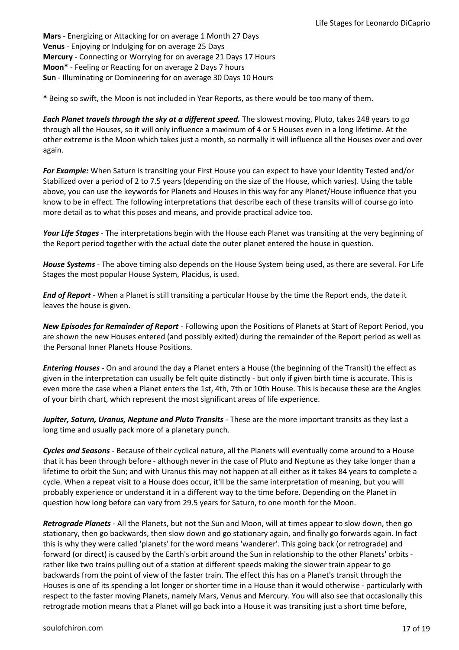**Mars** - Energizing or Attacking for on average 1 Month 27 Days **Venus** - Enjoying or Indulging for on average 25 Days **Mercury** - Connecting or Worrying for on average 21 Days 17 Hours **Moon\*** - Feeling or Reacting for on average 2 Days 7 hours **Sun** - Illuminating or Domineering for on average 30 Days 10 Hours

**\*** Being so swift, the Moon is not included in Year Reports, as there would be too many of them.

*Each Planet travels through the sky at a different speed.* The slowest moving, Pluto, takes 248 years to go through all the Houses, so it will only influence a maximum of 4 or 5 Houses even in a long lifetime. At the other extreme is the Moon which takes just a month, so normally it will influence all the Houses over and over again.

*For Example:* When Saturn is transiting your First House you can expect to have your Identity Tested and/or Stabilized over a period of 2 to 7.5 years (depending on the size of the House, which varies). Using the table above, you can use the keywords for Planets and Houses in this way for any Planet/House influence that you know to be in effect. The following interpretations that describe each of these transits will of course go into more detail as to what this poses and means, and provide practical advice too.

*Your Life Stages* - The interpretations begin with the House each Planet was transiting at the very beginning of the Report period together with the actual date the outer planet entered the house in question.

*House Systems* - The above timing also depends on the House System being used, as there are several. For Life Stages the most popular House System, Placidus, is used.

*End of Report* - When a Planet is still transiting a particular House by the time the Report ends, the date it leaves the house is given.

*New Episodes for Remainder of Report* - Following upon the Positions of Planets at Start of Report Period, you are shown the new Houses entered (and possibly exited) during the remainder of the Report period as well as the Personal Inner Planets House Positions.

*Entering Houses* - On and around the day a Planet enters a House (the beginning of the Transit) the effect as given in the interpretation can usually be felt quite distinctly - but only if given birth time is accurate. This is even more the case when a Planet enters the 1st, 4th, 7th or 10th House. This is because these are the Angles of your birth chart, which represent the most significant areas of life experience.

*Jupiter, Saturn, Uranus, Neptune and Pluto Transits* - These are the more important transits as they last a long time and usually pack more of a planetary punch.

*Cycles and Seasons* - Because of their cyclical nature, all the Planets will eventually come around to a House that it has been through before - although never in the case of Pluto and Neptune as they take longer than a lifetime to orbit the Sun; and with Uranus this may not happen at all either as it takes 84 years to complete a cycle. When a repeat visit to a House does occur, it'll be the same interpretation of meaning, but you will probably experience or understand it in a different way to the time before. Depending on the Planet in question how long before can vary from 29.5 years for Saturn, to one month for the Moon.

*Retrograde Planets* - All the Planets, but not the Sun and Moon, will at times appear to slow down, then go stationary, then go backwards, then slow down and go stationary again, and finally go forwards again. In fact this is why they were called 'planets' for the word means 'wanderer'. This going back (or retrograde) and forward (or direct) is caused by the Earth's orbit around the Sun in relationship to the other Planets' orbits rather like two trains pulling out of a station at different speeds making the slower train appear to go backwards from the point of view of the faster train. The effect this has on a Planet's transit through the Houses is one of its spending a lot longer or shorter time in a House than it would otherwise - particularly with respect to the faster moving Planets, namely Mars, Venus and Mercury. You will also see that occasionally this retrograde motion means that a Planet will go back into a House it was transiting just a short time before,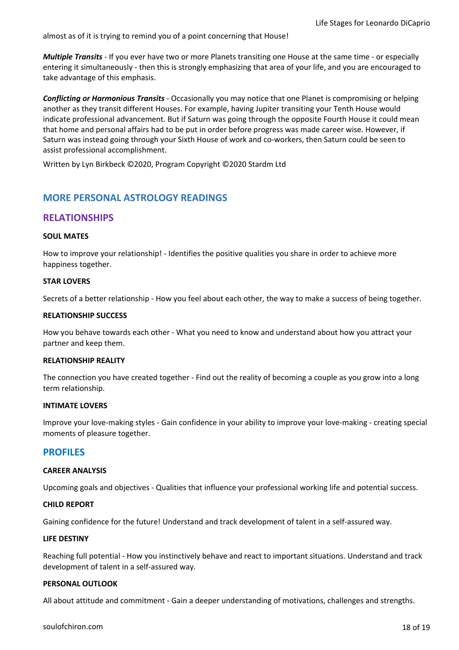almost as of it is trying to remind you of a point concerning that House!

*Multiple Transits* - If you ever have two or more Planets transiting one House at the same time - or especially entering it simultaneously - then this is strongly emphasizing that area of your life, and you are encouraged to take advantage of this emphasis.

*Conflicting or Harmonious Transits* - Occasionally you may notice that one Planet is compromising or helping another as they transit different Houses. For example, having Jupiter transiting your Tenth House would indicate professional advancement. But if Saturn was going through the opposite Fourth House it could mean that home and personal affairs had to be put in order before progress was made career wise. However, if Saturn was instead going through your Sixth House of work and co-workers, then Saturn could be seen to assist professional accomplishment.

Written by Lyn Birkbeck ©2020, Program Copyright ©2020 Stardm Ltd

# **MORE PERSONAL ASTROLOGY READINGS**

# **RELATIONSHIPS**

#### **SOUL MATES**

How to improve your relationship! - Identifies the positive qualities you share in order to achieve more happiness together.

#### **STAR LOVERS**

Secrets of a better relationship - How you feel about each other, the way to make a success of being together.

#### **RELATIONSHIP SUCCESS**

How you behave towards each other - What you need to know and understand about how you attract your partner and keep them.

#### **RELATIONSHIP REALITY**

The connection you have created together - Find out the reality of becoming a couple as you grow into a long term relationship.

#### **INTIMATE LOVERS**

Improve your love-making styles - Gain confidence in your ability to improve your love-making - creating special moments of pleasure together.

## **PROFILES**

#### **CAREER ANALYSIS**

Upcoming goals and objectives - Qualities that influence your professional working life and potential success.

#### **CHILD REPORT**

Gaining confidence for the future! Understand and track development of talent in a self-assured way.

#### **LIFE DESTINY**

Reaching full potential - How you instinctively behave and react to important situations. Understand and track development of talent in a self-assured way.

#### **PERSONAL OUTLOOK**

All about attitude and commitment - Gain a deeper understanding of motivations, challenges and strengths.